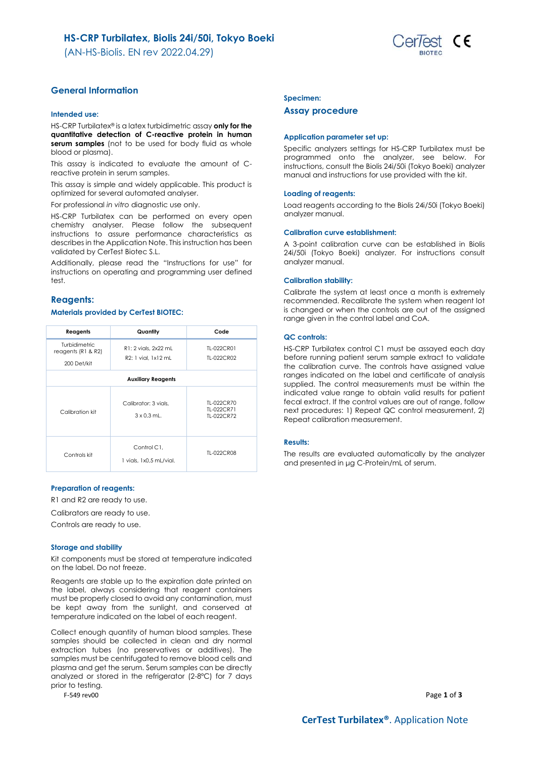(AN-HS-Biolis. EN rev 2022.04.29)



# **General Information**

### **Intended use:**

HS-CRP Turbilatex® is a latex turbidimetric assay **only for the quantitative detection of C-reactive protein in human serum samples** (not to be used for body fluid as whole blood or plasma).

This assay is indicated to evaluate the amount of Creactive protein in serum samples.

This assay is simple and widely applicable. This product is optimized for several automated analyser.

For professional *in vitro* diagnostic use only.

HS-CRP Turbilatex can be performed on every open chemistry analyser. Please follow the subsequent instructions to assure performance characteristics as describes in the Application Note. This instruction has been validated by CerTest Biotec S.L.

Additionally, please read the "Instructions for use" for instructions on operating and programming user defined test.

# **Reagents:**

## **Materials provided by CerTest BIOTEC:**

| Reagents                            | Quantity                                   | Code                                   |  |  |
|-------------------------------------|--------------------------------------------|----------------------------------------|--|--|
| Turbidimetric<br>reagents (R1 & R2) | R1: 2 vials, 2x22 mL                       | TL-022CR01                             |  |  |
| 200 Det/kit                         | R2: 1 vial. 1x12 mL                        | TI-022CR02                             |  |  |
| <b>Auxiliary Reagents</b>           |                                            |                                        |  |  |
| Calibration kit                     | Calibrator: 3 vials.<br>$3 \times 0.3$ mL. | TI-022CR70<br>TI-022CR71<br>TI-022CR72 |  |  |
| Controls kit                        | Control C1.<br>1 vials, 1x0.5 mL/vial.     | TI-022CR08                             |  |  |

### **Preparation of reagents:**

R1 and R2 are ready to use.

Calibrators are ready to use.

Controls are ready to use.

### **Storage and stability**

Kit components must be stored at temperature indicated on the label. Do not freeze.

Reagents are stable up to the expiration date printed on the label, always considering that reagent containers must be properly closed to avoid any contamination, must be kept away from the sunlight, and conserved at temperature indicated on the label of each reagent.

Collect enough quantity of human blood samples. These samples should be collected in clean and dry normal extraction tubes (no preservatives or additives). The samples must be centrifugated to remove blood cells and plasma and get the serum. Serum samples can be directly analyzed or stored in the refrigerator (2-8ºC) for 7 days prior to testing.

### **Specimen:**

### **Assay procedure**

#### **Application parameter set up:**

Specific analyzers settings for HS-CRP Turbilatex must be programmed onto the analyzer, see below. For instructions, consult the Biolis 24i/50i (Tokyo Boeki) analyzer manual and instructions for use provided with the kit.

#### **Loading of reagents:**

Load reagents according to the Biolis 24i/50i (Tokyo Boeki) analyzer manual.

### **Calibration curve establishment:**

A 3-point calibration curve can be established in Biolis 24i/50i (Tokyo Boeki) analyzer. For instructions consult analyzer manual.

#### **Calibration stability:**

Calibrate the system at least once a month is extremely recommended. Recalibrate the system when reagent lot is changed or when the controls are out of the assigned range given in the control label and CoA.

#### **QC controls:**

HS-CRP Turbilatex control C1 must be assayed each day before running patient serum sample extract to validate the calibration curve. The controls have assigned value ranges indicated on the label and certificate of analysis supplied. The control measurements must be within the indicated value range to obtain valid results for patient fecal extract. If the control values are out of range, follow next procedures: 1) Repeat QC control measurement, 2) Repeat calibration measurement.

### **Results:**

The results are evaluated automatically by the analyzer and presented in μg C-Protein/mL of serum.

F-549 rev00 Page **1** of **3**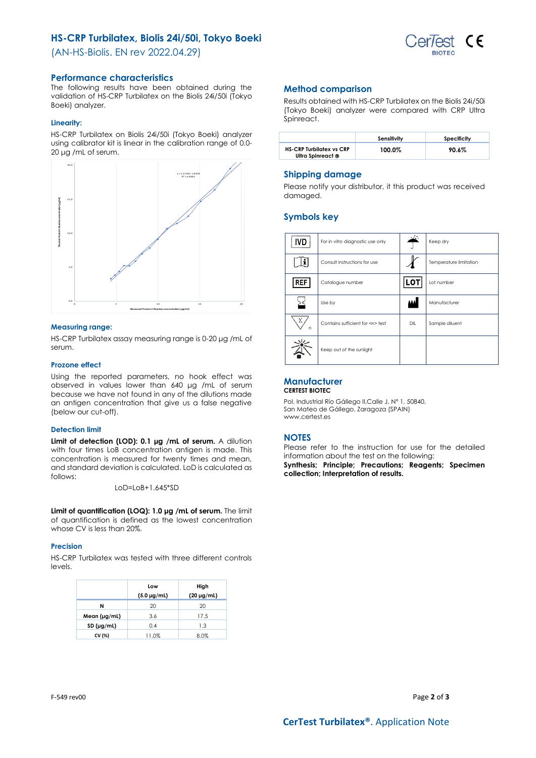# **HS-CRP Turbilatex, Biolis 24i/50i, Tokyo Boeki**

(AN-HS-Biolis. EN rev 2022.04.29)



# **Performance characteristics**

The following results have been obtained during the validation of HS-CRP Turbilatex on the Biolis 24i/50i (Tokyo Boeki) analyzer.

## **Linearity:**

HS-CRP Turbilatex on Biolis 24i/50i (Tokyo Boeki) analyzer using calibrator kit is linear in the calibration range of 0.0- 20 μg /mL of serum.



### **Measuring range:**

HS-CRP Turbilatex assay measuring range is 0-20 μg /mL of serum.

### **Prozone effect**

Using the reported parameters, no hook effect was observed in values lower than 640 μg /mL of serum because we have not found in any of the dilutions made an antigen concentration that give us a false negative (below our cut-off).

### **Detection limit**

**Limit of detection (LOD): 0.1 μg /mL of serum.** A dilution with four times LoB concentration antigen is made. This concentration is measured for twenty times and mean, and standard deviation is calculated. LoD is calculated as follows:

LoD=LoB+1.645\*SD

**Limit of quantification (LOQ): 1.0 μg /mL of serum.** The limit of quantification is defined as the lowest concentration whose CV is less than 20%.

### **Precision**

HS-CRP Turbilatex was tested with three different controls levels.

|                   | Low<br>$(5.0 \,\mu g/ml)$ | High<br>$(20 \mu g/ml)$ |
|-------------------|---------------------------|-------------------------|
| N                 | 20                        | 20                      |
| Mean $(\mu g/ml)$ | 3.6                       | 17.5                    |
| 0.4<br>SD (µg/ml) |                           | 1.3                     |
| CV (%)            | 11.0%                     | 8.0%                    |

# **Method comparison**

Results obtained with HS-CRP Turbilatex on the Biolis 24i/50i (Tokyo Boeki) analyzer were compared with CRP Ultra Spinreact.

|                                                      | Sensitivity | Specificity |
|------------------------------------------------------|-------------|-------------|
| <b>HS-CRP Turbilatex vs CRP</b><br>Ultra Spinreact ® | 100.0%      | 90.6%       |

# **Shipping damage**

Please notify your distributor, it this product was received damaged.

# **Symbols key**

| IVD           | For in vitro diagnostic use only     |     | Keep dry               |
|---------------|--------------------------------------|-----|------------------------|
|               | Consult instructions for use         |     | Temperature limitation |
| REF           | Catalogue number                     | LOT | Lot number             |
|               | Use by                               |     | Manufacturer           |
| $\Sigma$<br>n | Contains sufficient for <n> test</n> | DIL | Sample diluent         |
|               | Keep out of the sunlight             |     |                        |

#### **Manufacturer CERTEST BIOTEC**

Pol. Industrial Río Gállego II,Calle J, Nº 1, 50840, San Mateo de Gállego, Zaragoza (SPAIN) www.certest.es

# **NOTES**

Please refer to the instruction for use for the detailed information about the test on the following:

**Synthesis; Principle; Precautions; Reagents; Specimen collection; Interpretation of results.**

F-549 rev00 Page **2** of **3**